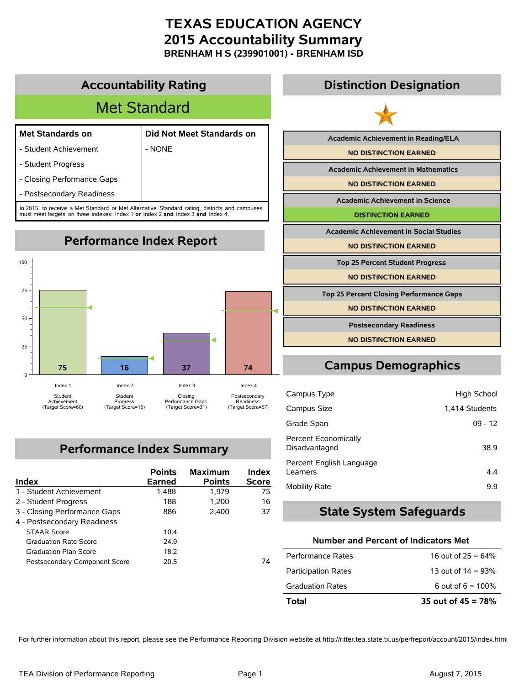**BRENHAM H S (239901001) - BRENHAM ISD**



## **Performance Index Summary**

| Index                         | <b>Points</b><br>Earned | <b>Maximum</b><br><b>Points</b> | Index<br><b>Score</b> |
|-------------------------------|-------------------------|---------------------------------|-----------------------|
| 1 - Student Achievement       | 1,488                   | 1.979                           | 75                    |
| 2 - Student Progress          | 188                     | 1,200                           | 16                    |
| 3 - Closing Performance Gaps  | 886                     | 2,400                           | 37                    |
| 4 - Postsecondary Readiness   |                         |                                 |                       |
| <b>STAAR Score</b>            | 104                     |                                 |                       |
| <b>Graduation Rate Score</b>  | 24.9                    |                                 |                       |
| <b>Graduation Plan Score</b>  | 18.2                    |                                 |                       |
| Postsecondary Component Score | 20.5                    |                                 | 74                    |

# **State System Safeguards Number and Percent of Indicators Met** Performance Rates  $16$  out of  $25 = 64\%$

Disadvantaged 38.9

Learners 4.4 Mobility Rate 9.9

Percent Economically

Percent English Language

| Total                      | 35 out of $45 = 78%$ |
|----------------------------|----------------------|
| <b>Graduation Rates</b>    | 6 out of $6 = 100\%$ |
| <b>Participation Rates</b> | 13 out of $14 = 93%$ |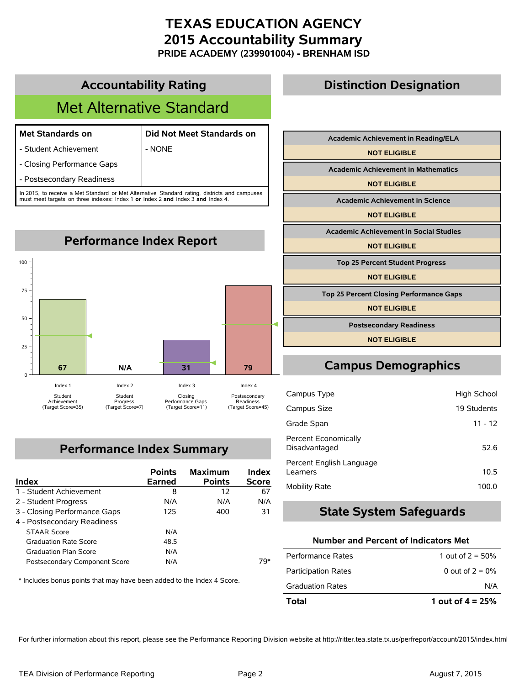**PRIDE ACADEMY (239901004) - BRENHAM ISD**

## **Accountability Rating** Met Alternative Standard **Met Standards on Did Not Meet Standards on** - Student Achievement | NONE - Closing Performance Gaps - Postsecondary Readiness In 2015, to receive a Met Standard or Met Alternative Standard rating, districts and campuses must meet targets on three indexes: Index 1 **or** Index 2 **and** Index 3 **and** Index 4.



## **Performance Index Summary**

| Index                         | <b>Points</b><br><b>Earned</b> | <b>Maximum</b><br><b>Points</b> | Index<br><b>Score</b> |
|-------------------------------|--------------------------------|---------------------------------|-----------------------|
| 1 - Student Achievement       | 8                              | 12                              | 67                    |
| 2 - Student Progress          | N/A                            | N/A                             | N/A                   |
| 3 - Closing Performance Gaps  | 125                            | 400                             | 31                    |
| 4 - Postsecondary Readiness   |                                |                                 |                       |
| <b>STAAR Score</b>            | N/A                            |                                 |                       |
| <b>Graduation Rate Score</b>  | 48.5                           |                                 |                       |
| <b>Graduation Plan Score</b>  | N/A                            |                                 |                       |
| Postsecondary Component Score | N/A                            |                                 | 79*                   |

\* Includes bonus points that may have been added to the Index 4 Score.

## **Distinction Designation**

| <b>Academic Achievement in Reading/ELA</b>     |  |
|------------------------------------------------|--|
| <b>NOT ELIGIBLE</b>                            |  |
| <b>Academic Achievement in Mathematics</b>     |  |
| <b>NOT ELIGIBLE</b>                            |  |
| <b>Academic Achievement in Science</b>         |  |
| <b>NOT ELIGIBLE</b>                            |  |
| <b>Academic Achievement in Social Studies</b>  |  |
| <b>NOT ELIGIBLE</b>                            |  |
| <b>Top 25 Percent Student Progress</b>         |  |
| <b>NOT ELIGIBLE</b>                            |  |
| <b>Top 25 Percent Closing Performance Gaps</b> |  |
| <b>NOT ELIGIBLE</b>                            |  |
| <b>Postsecondary Readiness</b>                 |  |
| <b>NOT ELIGIBLE</b>                            |  |

## **Campus Demographics**

| Campus Type                                  | High School |
|----------------------------------------------|-------------|
| Campus Size                                  | 19 Students |
| Grade Span                                   | $11 - 12$   |
| <b>Percent Economically</b><br>Disadvantaged | 52.6        |
| Percent English Language<br>Learners         | 10.5        |
| Mobility Rate                                | 100.0       |

#### **State System Safeguards**

#### **Number and Percent of Indicators Met**

| Total                      | 1 out of $4 = 25%$ |
|----------------------------|--------------------|
| <b>Graduation Rates</b>    | N/A                |
| <b>Participation Rates</b> | 0 out of $2 = 0\%$ |
| Performance Rates          | 1 out of $2 = 50%$ |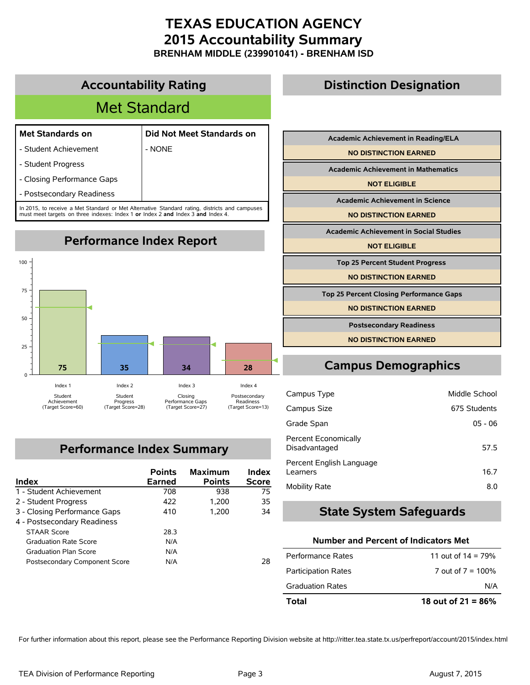**BRENHAM MIDDLE (239901041) - BRENHAM ISD**



## **Performance Index Summary**

| Index                         | <b>Points</b><br><b>Earned</b> | <b>Maximum</b><br><b>Points</b> | Index<br><b>Score</b> |
|-------------------------------|--------------------------------|---------------------------------|-----------------------|
| 1 - Student Achievement       | 708                            | 938                             | 75                    |
| 2 - Student Progress          | 422                            | 1.200                           | 35                    |
| 3 - Closing Performance Gaps  | 410                            | 1.200                           | 34                    |
| 4 - Postsecondary Readiness   |                                |                                 |                       |
| <b>STAAR Score</b>            | 28.3                           |                                 |                       |
| <b>Graduation Rate Score</b>  | N/A                            |                                 |                       |
| <b>Graduation Plan Score</b>  | N/A                            |                                 |                       |
| Postsecondary Component Score | N/A                            |                                 | 28                    |

## **Number and Percent of Indicators Met**

Disadvantaged 57.5

Learners 16.7 Mobility Rate 8.0

**State System Safeguards**

Percent Economically

Percent English Language

| Total                      | 18 out of $21 = 86\%$ |
|----------------------------|-----------------------|
| <b>Graduation Rates</b>    | N/A                   |
| <b>Participation Rates</b> | 7 out of $7 = 100\%$  |
| Performance Rates          | 11 out of $14 = 79%$  |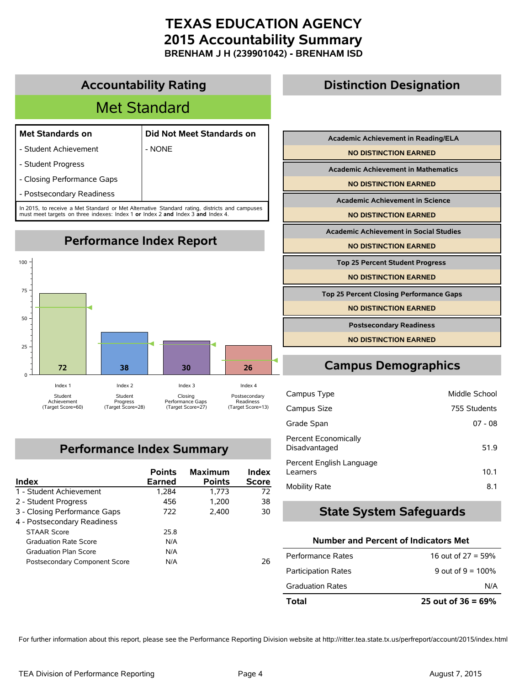**BRENHAM J H (239901042) - BRENHAM ISD**



## **Performance Index Summary**

| Index                         | <b>Points</b><br><b>Earned</b> | <b>Maximum</b><br><b>Points</b> | Index<br><b>Score</b> |
|-------------------------------|--------------------------------|---------------------------------|-----------------------|
| 1 - Student Achievement       | 1,284                          | 1.773                           | 72                    |
| 2 - Student Progress          | 456                            | 1.200                           | 38                    |
| 3 - Closing Performance Gaps  | 722                            | 2.400                           | 30                    |
| 4 - Postsecondary Readiness   |                                |                                 |                       |
| <b>STAAR Score</b>            | 25.8                           |                                 |                       |
| <b>Graduation Rate Score</b>  | N/A                            |                                 |                       |
| <b>Graduation Plan Score</b>  | N/A                            |                                 |                       |
| Postsecondary Component Score | N/A                            |                                 | 26                    |

| <b>Academic Achievement in Mathematics</b>     |  |
|------------------------------------------------|--|
| <b>NO DISTINCTION EARNED</b>                   |  |
| <b>Academic Achievement in Science</b>         |  |
| <b>NO DISTINCTION EARNED</b>                   |  |
| <b>Academic Achievement in Social Studies</b>  |  |
| <b>NO DISTINCTION EARNED</b>                   |  |
|                                                |  |
| <b>Top 25 Percent Student Progress</b>         |  |
| <b>NO DISTINCTION EARNED</b>                   |  |
| <b>Top 25 Percent Closing Performance Gaps</b> |  |
| <b>NO DISTINCTION EARNED</b>                   |  |
| <b>Postsecondary Readiness</b>                 |  |

## **Campus Demographics**

| Campus Type                           | Middle School |
|---------------------------------------|---------------|
| Campus Size                           | 755 Students  |
| Grade Span                            | $07 - 08$     |
| Percent Economically<br>Disadvantaged | 51.9          |
| Percent English Language<br>Learners  | 10.1          |
| Mobility Rate                         | 8.1           |

#### **State System Safeguards**

#### **Number and Percent of Indicators Met**

| Total                      | 25 out of $36 = 69\%$ |
|----------------------------|-----------------------|
| <b>Graduation Rates</b>    | N/A                   |
| <b>Participation Rates</b> | 9 out of $9 = 100\%$  |
| Performance Rates          | 16 out of $27 = 59%$  |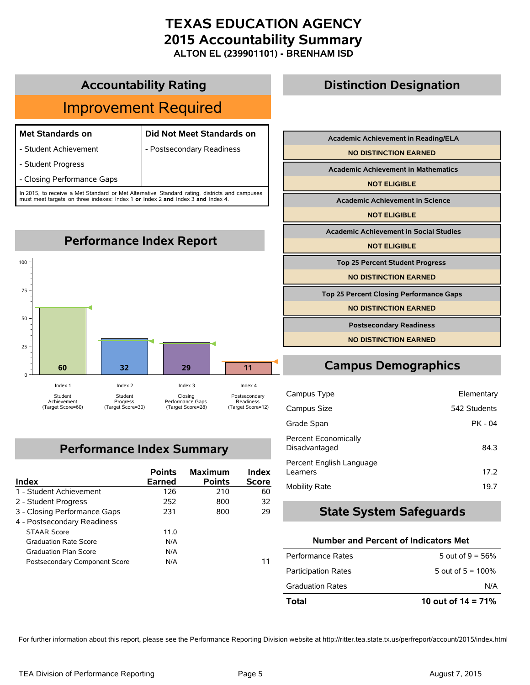**ALTON EL (239901101) - BRENHAM ISD**

#### **Accountability Rating**

## Improvement Required

#### **Met Standards on Did Not Meet Standards on**

- Student Achievement | Postsecondary Readiness

- Student Progress

- Closing Performance Gaps

In 2015, to receive a Met Standard or Met Alternative Standard rating, districts and campuses must meet targets on three indexes: Index 1 **or** Index 2 **and** Index 3 **and** Index 4.



## **Performance Index Summary**

| Index                         | <b>Points</b><br>Earned | <b>Maximum</b><br><b>Points</b> | Index<br><b>Score</b> |
|-------------------------------|-------------------------|---------------------------------|-----------------------|
| 1 - Student Achievement       | 126                     | 210                             | 60                    |
| 2 - Student Progress          | 252                     | 800                             | 32                    |
| 3 - Closing Performance Gaps  | 231                     | 800                             | 29                    |
| 4 - Postsecondary Readiness   |                         |                                 |                       |
| <b>STAAR Score</b>            | 11.0                    |                                 |                       |
| <b>Graduation Rate Score</b>  | N/A                     |                                 |                       |
| <b>Graduation Plan Score</b>  | N/A                     |                                 |                       |
| Postsecondary Component Score | N/A                     |                                 |                       |

## **Distinction Designation**

| <b>Academic Achievement in Reading/ELA</b>     |  |
|------------------------------------------------|--|
| <b>NO DISTINCTION EARNED</b>                   |  |
| <b>Academic Achievement in Mathematics</b>     |  |
| <b>NOT ELIGIBLE</b>                            |  |
| <b>Academic Achievement in Science</b>         |  |
| <b>NOT ELIGIBLE</b>                            |  |
| <b>Academic Achievement in Social Studies</b>  |  |
| <b>NOT ELIGIBLE</b>                            |  |
| <b>Top 25 Percent Student Progress</b>         |  |
| <b>NO DISTINCTION EARNED</b>                   |  |
| <b>Top 25 Percent Closing Performance Gaps</b> |  |
| <b>NO DISTINCTION EARNED</b>                   |  |

## **Campus Demographics**

**Postsecondary Readiness NO DISTINCTION EARNED**

| Campus Type                                  | Elementary   |
|----------------------------------------------|--------------|
| Campus Size                                  | 542 Students |
| Grade Span                                   | $PK - 04$    |
| <b>Percent Economically</b><br>Disadvantaged | 84.3         |
| Percent English Language<br>Learners         | 17.2         |
| <b>Mobility Rate</b>                         | 19.7         |

#### **State System Safeguards**

#### **Number and Percent of Indicators Met**

| Total                      | 10 out of $14 = 71\%$ |
|----------------------------|-----------------------|
| <b>Graduation Rates</b>    | N/A                   |
| <b>Participation Rates</b> | 5 out of $5 = 100\%$  |
| Performance Rates          | 5 out of $9 = 56\%$   |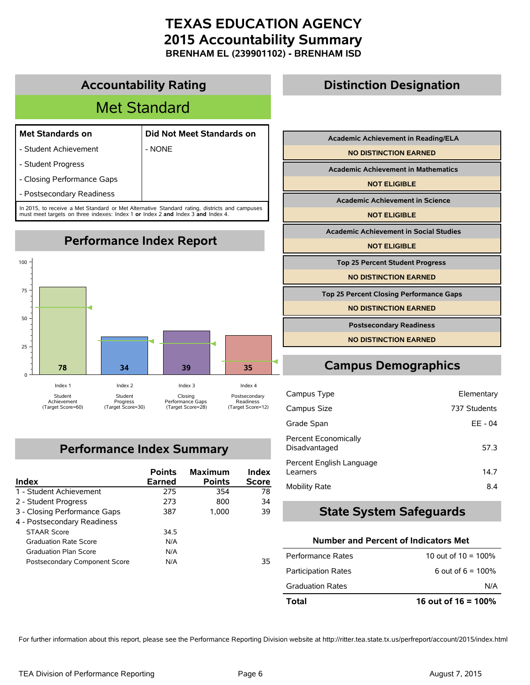**BRENHAM EL (239901102) - BRENHAM ISD**



## **Performance Index Summary**

| Index                         | <b>Points</b><br>Earned | <b>Maximum</b><br><b>Points</b> | Index<br><b>Score</b> |
|-------------------------------|-------------------------|---------------------------------|-----------------------|
| 1 - Student Achievement       | 275                     | 354                             | 78                    |
| 2 - Student Progress          | 273                     | 800                             | 34                    |
| 3 - Closing Performance Gaps  | 387                     | 1.000                           | 39                    |
| 4 - Postsecondary Readiness   |                         |                                 |                       |
| <b>STAAR Score</b>            | 34.5                    |                                 |                       |
| <b>Graduation Rate Score</b>  | N/A                     |                                 |                       |
| Graduation Plan Score         | N/A                     |                                 |                       |
| Postsecondary Component Score | N/A                     |                                 | 35                    |

| Campus Type                                  | Elementary   |
|----------------------------------------------|--------------|
| Campus Size                                  | 737 Students |
| Grade Span                                   | EE - 04      |
| <b>Percent Economically</b><br>Disadvantaged | 57.3         |
| Percent English Language<br>Learners         | 14.7         |
| <b>Mobility Rate</b>                         | 8.4          |

#### **State System Safeguards**

#### **Number and Percent of Indicators Met**

| Total                      | 16 out of $16 = 100\%$ |
|----------------------------|------------------------|
| <b>Graduation Rates</b>    | N/A                    |
| <b>Participation Rates</b> | 6 out of $6 = 100\%$   |
| Performance Rates          | 10 out of $10 = 100\%$ |